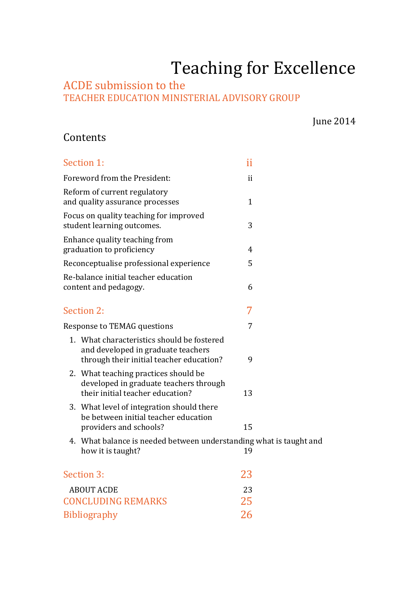# Teaching for Excellence

### ACDE submission to the TEACHER EDUCATION MINISTERIAL ADVISORY GROUP

June 2014

## Contents

| Section 1:                                                                                                                   | ii           |  |
|------------------------------------------------------------------------------------------------------------------------------|--------------|--|
| Foreword from the President:                                                                                                 | ii           |  |
| Reform of current regulatory<br>and quality assurance processes                                                              | $\mathbf{1}$ |  |
| Focus on quality teaching for improved<br>student learning outcomes.                                                         | 3            |  |
| Enhance quality teaching from<br>graduation to proficiency                                                                   | 4            |  |
| Reconceptualise professional experience                                                                                      | 5            |  |
| Re-balance initial teacher education<br>content and pedagogy.                                                                | 6            |  |
| Section 2:                                                                                                                   | 7            |  |
| Response to TEMAG questions                                                                                                  | 7            |  |
| 1. What characteristics should be fostered<br>and developed in graduate teachers<br>through their initial teacher education? | 9            |  |
| 2. What teaching practices should be<br>developed in graduate teachers through<br>their initial teacher education?           | 13           |  |
| 3. What level of integration should there<br>be between initial teacher education<br>providers and schools?                  | 15           |  |
| 4. What balance is needed between understanding what is taught and<br>how it is taught?                                      | 19           |  |
| Section 3:                                                                                                                   | 23           |  |
| <b>ABOUT ACDE</b>                                                                                                            | 23           |  |
| <b>CONCLUDING REMARKS</b>                                                                                                    | 25           |  |
| <b>Bibliography</b>                                                                                                          | 26           |  |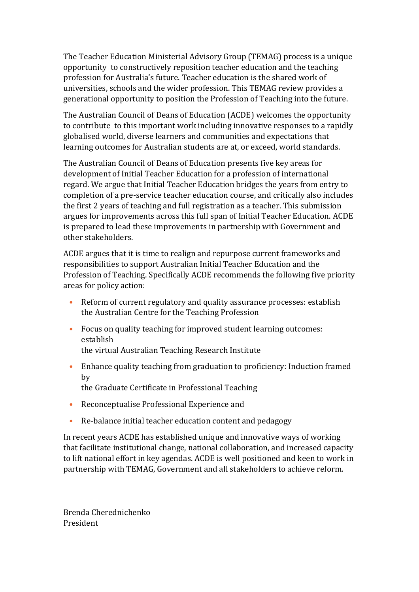The Teacher Education Ministerial Advisory Group (TEMAG) process is a unique opportunity to constructively reposition teacher education and the teaching profession for Australia's future. Teacher education is the shared work of universities, schools and the wider profession. This TEMAG review provides a generational opportunity to position the Profession of Teaching into the future.

The Australian Council of Deans of Education (ACDE) welcomes the opportunity to contribute to this important work including innovative responses to a rapidly globalised world, diverse learners and communities and expectations that learning outcomes for Australian students are at, or exceed, world standards.

The Australian Council of Deans of Education presents five key areas for development of Initial Teacher Education for a profession of international regard. We argue that Initial Teacher Education bridges the years from entry to completion of a pre-service teacher education course, and critically also includes the first 2 years of teaching and full registration as a teacher. This submission argues for improvements across this full span of Initial Teacher Education. ACDE is prepared to lead these improvements in partnership with Government and other stakeholders.

ACDE argues that it is time to realign and repurpose current frameworks and responsibilities to support Australian Initial Teacher Education and the Profession of Teaching. Specifically ACDE recommends the following five priority areas for policy action:

- Reform of current regulatory and quality assurance processes: establish the Australian Centre for the Teaching Profession
- Focus on quality teaching for improved student learning outcomes: establish the virtual Australian Teaching Research Institute
	-
- Enhance quality teaching from graduation to proficiency: Induction framed by the Graduate Certificate in Professional Teaching
- Reconceptualise Professional Experience and
- Re-balance initial teacher education content and pedagogy

In recent years ACDE has established unique and innovative ways of working that facilitate institutional change, national collaboration, and increased capacity to lift national effort in key agendas. ACDE is well positioned and keen to work in partnership with TEMAG, Government and all stakeholders to achieve reform.

Brenda Cherednichenko President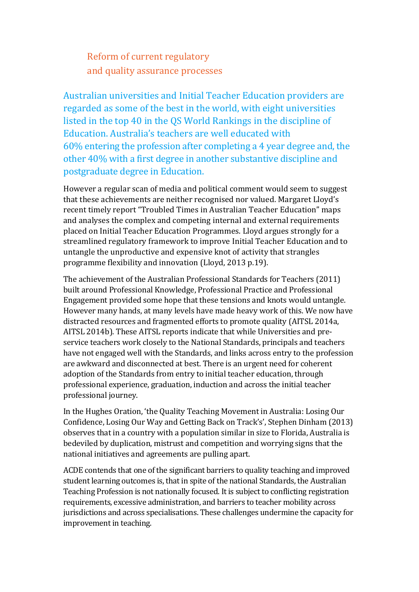Reform of current regulatory and quality assurance processes

Australian universities and Initial Teacher Education providers are regarded as some of the best in the world, with eight universities listed in the top 40 in the QS World Rankings in the discipline of Education. Australia's teachers are well educated with 60% entering the profession after completing a 4 year degree and, the other 40% with a first degree in another substantive discipline and postgraduate degree in Education.

However a regular scan of media and political comment would seem to suggest that these achievements are neither recognised nor valued. Margaret Lloyd's recent timely report "Troubled Times in Australian Teacher Education" maps and analyses the complex and competing internal and external requirements placed on Initial Teacher Education Programmes. Lloyd argues strongly for a streamlined regulatory framework to improve Initial Teacher Education and to untangle the unproductive and expensive knot of activity that strangles programme flexibility and innovation (Lloyd, 2013 p.19).

The achievement of the Australian Professional Standards for Teachers (2011) built around Professional Knowledge, Professional Practice and Professional Engagement provided some hope that these tensions and knots would untangle. However many hands, at many levels have made heavy work of this. We now have distracted resources and fragmented efforts to promote quality (AITSL 2014a, AITSL 2014b). These AITSL reports indicate that while Universities and preservice teachers work closely to the National Standards, principals and teachers have not engaged well with the Standards, and links across entry to the profession are awkward and disconnected at best. There is an urgent need for coherent adoption of the Standards from entry to initial teacher education, through professional experience, graduation, induction and across the initial teacher professional journey.

In the Hughes Oration, 'the Quality Teaching Movement in Australia: Losing Our Confidence, Losing Our Way and Getting Back on Track's', Stephen Dinham (2013) observes that in a country with a population similar in size to Florida, Australia is bedeviled by duplication, mistrust and competition and worrying signs that the national initiatives and agreements are pulling apart.

ACDE contends that one of the significant barriers to quality teaching and improved student learning outcomes is, that in spite of the national Standards, the Australian Teaching Profession is not nationally focused. It is subject to conflicting registration requirements, excessive administration, and barriers to teacher mobility across jurisdictions and across specialisations. These challenges undermine the capacity for improvement in teaching.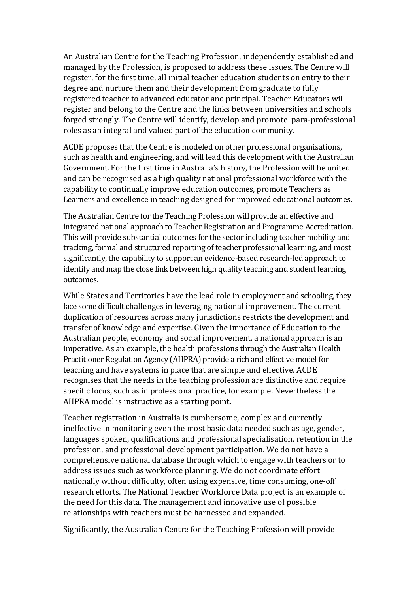An Australian Centre for the Teaching Profession, independently established and managed by the Profession, is proposed to address these issues. The Centre will register, for the first time, all initial teacher education students on entry to their degree and nurture them and their development from graduate to fully registered teacher to advanced educator and principal. Teacher Educators will register and belong to the Centre and the links between universities and schools forged strongly. The Centre will identify, develop and promote para-professional roles as an integral and valued part of the education community.

ACDE proposes that the Centre is modeled on other professional organisations, such as health and engineering, and will lead this development with the Australian Government. For the first time in Australia's history, the Profession will be united and can be recognised as a high quality national professional workforce with the capability to continually improve education outcomes, promote Teachers as Learners and excellence in teaching designed for improved educational outcomes.

The Australian Centre for the Teaching Profession will provide an effective and integrated national approach to Teacher Registration and Programme Accreditation. This will provide substantial outcomes for the sector including teacher mobility and tracking, formal and structured reporting of teacher professional learning, and most significantly, the capability to support an evidence-based research-led approach to identify and map the close link between high quality teaching and student learning outcomes.

While States and Territories have the lead role in employment and schooling, they face some difficult challenges in leveraging national improvement. The current duplication of resources across many jurisdictions restricts the development and transfer of knowledge and expertise. Given the importance of Education to the Australian people, economy and social improvement, a national approach is an imperative. As an example, the health professions through the Australian Health Practitioner Regulation Agency (AHPRA) provide a rich and effective model for teaching and have systems in place that are simple and effective. ACDE recognises that the needs in the teaching profession are distinctive and require specific focus, such as in professional practice, for example. Nevertheless the AHPRA model is instructive as a starting point.

Teacher registration in Australia is cumbersome, complex and currently ineffective in monitoring even the most basic data needed such as age, gender, languages spoken, qualifications and professional specialisation, retention in the profession, and professional development participation. We do not have a comprehensive national database through which to engage with teachers or to address issues such as workforce planning. We do not coordinate effort nationally without difficulty, often using expensive, time consuming, one-off research efforts. The National Teacher Workforce Data project is an example of the need for this data. The management and innovative use of possible relationships with teachers must be harnessed and expanded.

Significantly, the Australian Centre for the Teaching Profession will provide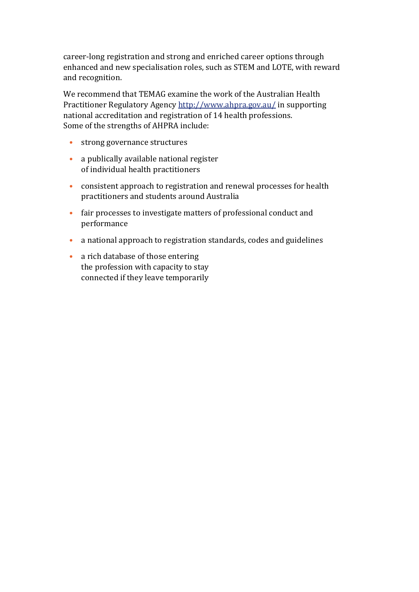career-long registration and strong and enriched career options through enhanced and new specialisation roles, such as STEM and LOTE, with reward and recognition.

We recommend that TEMAG examine the work of the Australian Health Practitioner Regulatory Agency http://www.ahpra.gov.au/ in supporting national accreditation and registration of 14 health professions. Some of the strengths of AHPRA include:

- strong governance structures
- a publically available national register of individual health practitioners
- consistent approach to registration and renewal processes for health practitioners and students around Australia
- fair processes to investigate matters of professional conduct and performance
- a national approach to registration standards, codes and guidelines
- a rich database of those entering the profession with capacity to stay connected if they leave temporarily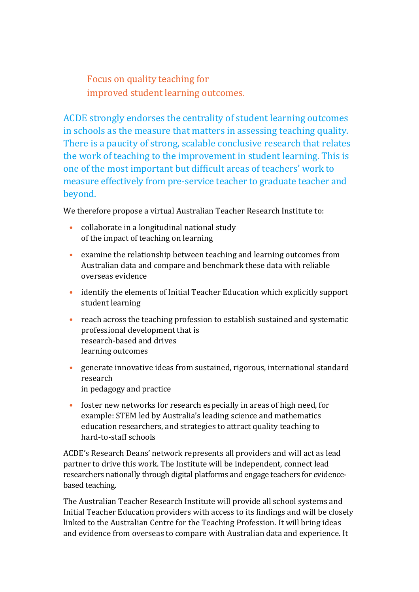Focus on quality teaching for improved student learning outcomes.

ACDE strongly endorses the centrality of student learning outcomes in schools as the measure that matters in assessing teaching quality. There is a paucity of strong, scalable conclusive research that relates the work of teaching to the improvement in student learning. This is one of the most important but difficult areas of teachers' work to measure effectively from pre-service teacher to graduate teacher and beyond.

We therefore propose a virtual Australian Teacher Research Institute to:

- collaborate in a longitudinal national study of the impact of teaching on learning
- examine the relationship between teaching and learning outcomes from Australian data and compare and benchmark these data with reliable overseas evidence
- identify the elements of Initial Teacher Education which explicitly support student learning
- reach across the teaching profession to establish sustained and systematic professional development that is research-based and drives learning outcomes
- generate innovative ideas from sustained, rigorous, international standard research in pedagogy and practice
- foster new networks for research especially in areas of high need, for example: STEM led by Australia's leading science and mathematics education researchers, and strategies to attract quality teaching to hard-to-staff schools

ACDE's Research Deans' network represents all providers and will act as lead partner to drive this work. The Institute will be independent, connect lead researchers nationally through digital platforms and engage teachers for evidencebased teaching.

The Australian Teacher Research Institute will provide all school systems and Initial Teacher Education providers with access to its findings and will be closely linked to the Australian Centre for the Teaching Profession. It will bring ideas and evidence from overseas to compare with Australian data and experience. It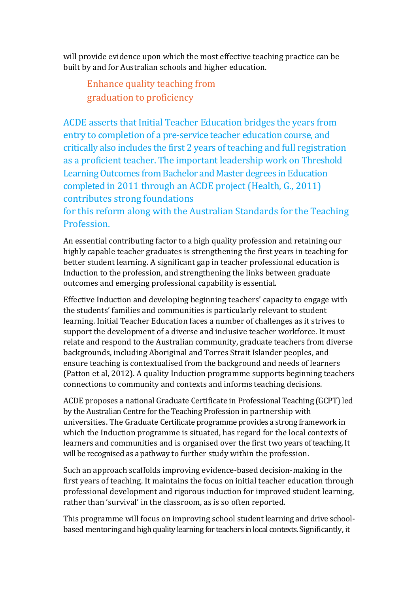will provide evidence upon which the most effective teaching practice can be built by and for Australian schools and higher education.

Enhance quality teaching from graduation to proficiency

ACDE asserts that Initial Teacher Education bridges the years from entry to completion of a pre-service teacher education course, and critically also includes the first 2 years of teaching and full registration as a proficient teacher. The important leadership work on Threshold Learning Outcomes from Bachelor and Master degrees in Education completed in 2011 through an ACDE project (Health, G., 2011) contributes strong foundations

for this reform along with the Australian Standards for the Teaching Profession.

An essential contributing factor to a high quality profession and retaining our highly capable teacher graduates is strengthening the first years in teaching for better student learning. A significant gap in teacher professional education is Induction to the profession, and strengthening the links between graduate outcomes and emerging professional capability is essential.

Effective Induction and developing beginning teachers' capacity to engage with the students' families and communities is particularly relevant to student learning. Initial Teacher Education faces a number of challenges as it strives to support the development of a diverse and inclusive teacher workforce. It must relate and respond to the Australian community, graduate teachers from diverse backgrounds, including Aboriginal and Torres Strait Islander peoples, and ensure teaching is contextualised from the background and needs of learners (Patton et al, 2012). A quality Induction programme supports beginning teachers connections to community and contexts and informs teaching decisions.

ACDE proposes a national Graduate Certificate in Professional Teaching (GCPT) led by the Australian Centre for the Teaching Profession in partnership with universities. The Graduate Certificate programme provides a strong framework in which the Induction programme is situated, has regard for the local contexts of learners and communities and is organised over the first two years of teaching. It will be recognised as a pathway to further study within the profession.

Such an approach scaffolds improving evidence-based decision-making in the first years of teaching. It maintains the focus on initial teacher education through professional development and rigorous induction for improved student learning, rather than 'survival' in the classroom, as is so often reported.

This programme will focus on improving school student learning and drive schoolbased mentoring and high quality learning for teachers in local contexts. Significantly, it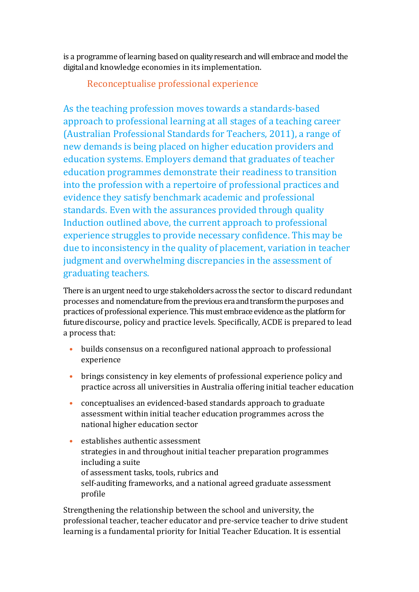is a programme of learning based on quality research and will embrace and model the digital and knowledge economies in its implementation.

#### Reconceptualise professional experience

As the teaching profession moves towards a standards-based approach to professional learning at all stages of a teaching career (Australian Professional Standards for Teachers, 2011), a range of new demands is being placed on higher education providers and education systems. Employers demand that graduates of teacher education programmes demonstrate their readiness to transition into the profession with a repertoire of professional practices and evidence they satisfy benchmark academic and professional standards. Even with the assurances provided through quality Induction outlined above, the current approach to professional experience struggles to provide necessary confidence. This may be due to inconsistency in the quality of placement, variation in teacher judgment and overwhelming discrepancies in the assessment of graduating teachers.

There is an urgent need to urge stakeholders across the sector to discard redundant processes and nomenclature from the previous era and transform the purposes and practices of professional experience. This must embrace evidence as the platform for future discourse, policy and practice levels. Specifically, ACDE is prepared to lead a process that:

- builds consensus on a reconfigured national approach to professional experience
- brings consistency in key elements of professional experience policy and practice across all universities in Australia offering initial teacher education
- conceptualises an evidenced-based standards approach to graduate assessment within initial teacher education programmes across the national higher education sector
- establishes authentic assessment strategies in and throughout initial teacher preparation programmes including a suite of assessment tasks, tools, rubrics and self-auditing frameworks, and a national agreed graduate assessment profile

Strengthening the relationship between the school and university, the professional teacher, teacher educator and pre-service teacher to drive student learning is a fundamental priority for Initial Teacher Education. It is essential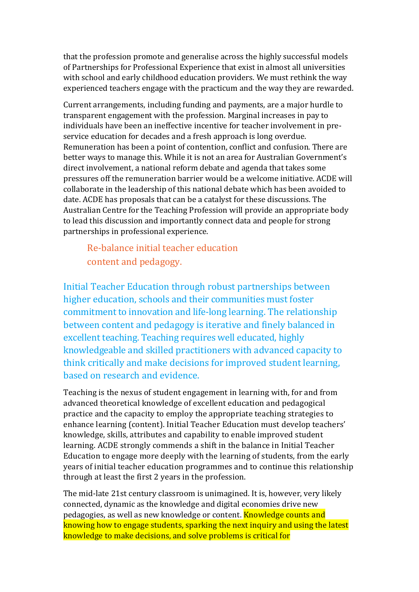that the profession promote and generalise across the highly successful models of Partnerships for Professional Experience that exist in almost all universities with school and early childhood education providers. We must rethink the way experienced teachers engage with the practicum and the way they are rewarded.

Current arrangements, including funding and payments, are a major hurdle to transparent engagement with the profession. Marginal increases in pay to individuals have been an ineffective incentive for teacher involvement in preservice education for decades and a fresh approach is long overdue. Remuneration has been a point of contention, conflict and confusion. There are better ways to manage this. While it is not an area for Australian Government's direct involvement, a national reform debate and agenda that takes some pressures off the remuneration barrier would be a welcome initiative. ACDE will collaborate in the leadership of this national debate which has been avoided to date. ACDE has proposals that can be a catalyst for these discussions. The Australian Centre for the Teaching Profession will provide an appropriate body to lead this discussion and importantly connect data and people for strong partnerships in professional experience.

Re-balance initial teacher education content and pedagogy.

Initial Teacher Education through robust partnerships between higher education, schools and their communities must foster commitment to innovation and life-long learning. The relationship between content and pedagogy is iterative and finely balanced in excellent teaching. Teaching requires well educated, highly knowledgeable and skilled practitioners with advanced capacity to think critically and make decisions for improved student learning, based on research and evidence.

Teaching is the nexus of student engagement in learning with, for and from advanced theoretical knowledge of excellent education and pedagogical practice and the capacity to employ the appropriate teaching strategies to enhance learning (content). Initial Teacher Education must develop teachers' knowledge, skills, attributes and capability to enable improved student learning. ACDE strongly commends a shift in the balance in Initial Teacher Education to engage more deeply with the learning of students, from the early years of initial teacher education programmes and to continue this relationship through at least the first 2 years in the profession.

The mid-late 21st century classroom is unimagined. It is, however, very likely connected, dynamic as the knowledge and digital economies drive new pedagogies, as well as new knowledge or content. Knowledge counts and knowing how to engage students, sparking the next inquiry and using the latest knowledge to make decisions, and solve problems is critical for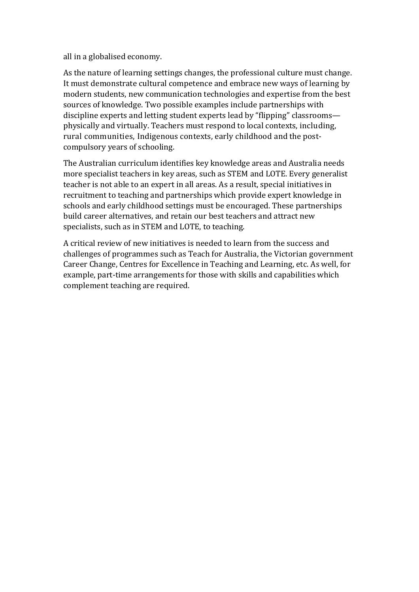all in a globalised economy.

As the nature of learning settings changes, the professional culture must change. It must demonstrate cultural competence and embrace new ways of learning by modern students, new communication technologies and expertise from the best sources of knowledge. Two possible examples include partnerships with discipline experts and letting student experts lead by "flipping" classrooms physically and virtually. Teachers must respond to local contexts, including, rural communities, Indigenous contexts, early childhood and the postcompulsory years of schooling.

The Australian curriculum identifies key knowledge areas and Australia needs more specialist teachers in key areas, such as STEM and LOTE. Every generalist teacher is not able to an expert in all areas. As a result, special initiatives in recruitment to teaching and partnerships which provide expert knowledge in schools and early childhood settings must be encouraged. These partnerships build career alternatives, and retain our best teachers and attract new specialists, such as in STEM and LOTE, to teaching.

A critical review of new initiatives is needed to learn from the success and challenges of programmes such as Teach for Australia, the Victorian government Career Change, Centres for Excellence in Teaching and Learning, etc. As well, for example, part-time arrangements for those with skills and capabilities which complement teaching are required.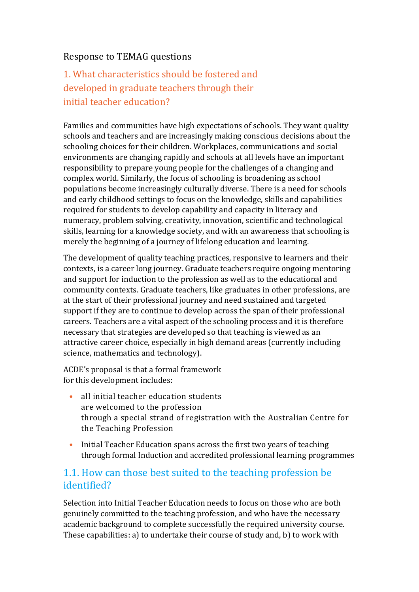#### Response to TEMAG questions

## 1. What characteristics should be fostered and developed in graduate teachers through their initial teacher education?

Families and communities have high expectations of schools. They want quality schools and teachers and are increasingly making conscious decisions about the schooling choices for their children. Workplaces, communications and social environments are changing rapidly and schools at all levels have an important responsibility to prepare young people for the challenges of a changing and complex world. Similarly, the focus of schooling is broadening as school populations become increasingly culturally diverse. There is a need for schools and early childhood settings to focus on the knowledge, skills and capabilities required for students to develop capability and capacity in literacy and numeracy, problem solving, creativity, innovation, scientific and technological skills, learning for a knowledge society, and with an awareness that schooling is merely the beginning of a journey of lifelong education and learning.

The development of quality teaching practices, responsive to learners and their contexts, is a career long journey. Graduate teachers require ongoing mentoring and support for induction to the profession as well as to the educational and community contexts. Graduate teachers, like graduates in other professions, are at the start of their professional journey and need sustained and targeted support if they are to continue to develop across the span of their professional careers. Teachers are a vital aspect of the schooling process and it is therefore necessary that strategies are developed so that teaching is viewed as an attractive career choice, especially in high demand areas (currently including science, mathematics and technology).

ACDE's proposal is that a formal framework for this development includes:

- all initial teacher education students are welcomed to the profession through a special strand of registration with the Australian Centre for the Teaching Profession
- Initial Teacher Education spans across the first two years of teaching through formal Induction and accredited professional learning programmes

#### 1.1. How can those best suited to the teaching profession be identified?

Selection into Initial Teacher Education needs to focus on those who are both genuinely committed to the teaching profession, and who have the necessary academic background to complete successfully the required university course. These capabilities: a) to undertake their course of study and, b) to work with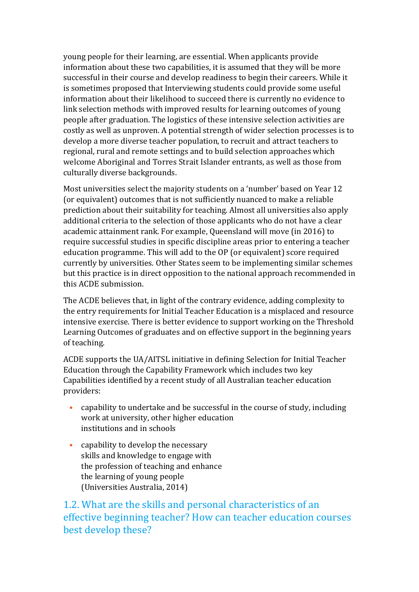young people for their learning, are essential. When applicants provide information about these two capabilities, it is assumed that they will be more successful in their course and develop readiness to begin their careers. While it is sometimes proposed that Interviewing students could provide some useful information about their likelihood to succeed there is currently no evidence to link selection methods with improved results for learning outcomes of young people after graduation. The logistics of these intensive selection activities are costly as well as unproven. A potential strength of wider selection processes is to develop a more diverse teacher population, to recruit and attract teachers to regional, rural and remote settings and to build selection approaches which welcome Aboriginal and Torres Strait Islander entrants, as well as those from culturally diverse backgrounds.

Most universities select the majority students on a 'number' based on Year 12 (or equivalent) outcomes that is not sufficiently nuanced to make a reliable prediction about their suitability for teaching. Almost all universities also apply additional criteria to the selection of those applicants who do not have a clear academic attainment rank. For example, Queensland will move (in 2016) to require successful studies in specific discipline areas prior to entering a teacher education programme. This will add to the OP (or equivalent) score required currently by universities. Other States seem to be implementing similar schemes but this practice is in direct opposition to the national approach recommended in this ACDE submission.

The ACDE believes that, in light of the contrary evidence, adding complexity to the entry requirements for Initial Teacher Education is a misplaced and resource intensive exercise. There is better evidence to support working on the Threshold Learning Outcomes of graduates and on effective support in the beginning years of teaching.

ACDE supports the UA/AITSL initiative in defining Selection for Initial Teacher Education through the Capability Framework which includes two key Capabilities identified by a recent study of all Australian teacher education providers:

- capability to undertake and be successful in the course of study, including work at university, other higher education institutions and in schools
- capability to develop the necessary skills and knowledge to engage with the profession of teaching and enhance the learning of young people (Universities Australia, 2014)

1.2. What are the skills and personal characteristics of an effective beginning teacher? How can teacher education courses best develop these?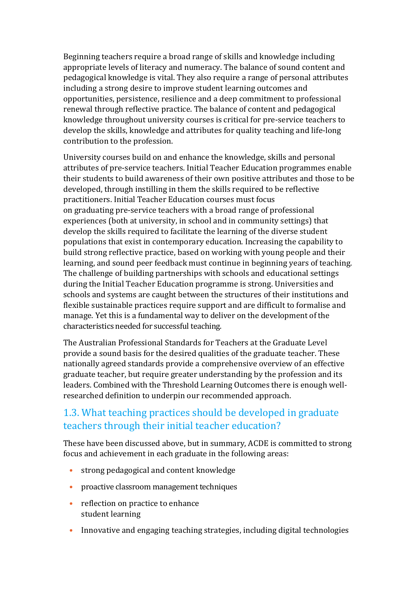Beginning teachers require a broad range of skills and knowledge including appropriate levels of literacy and numeracy. The balance of sound content and pedagogical knowledge is vital. They also require a range of personal attributes including a strong desire to improve student learning outcomes and opportunities, persistence, resilience and a deep commitment to professional renewal through reflective practice. The balance of content and pedagogical knowledge throughout university courses is critical for pre-service teachers to develop the skills, knowledge and attributes for quality teaching and life-long contribution to the profession.

University courses build on and enhance the knowledge, skills and personal attributes of pre-service teachers. Initial Teacher Education programmes enable their students to build awareness of their own positive attributes and those to be developed, through instilling in them the skills required to be reflective practitioners. Initial Teacher Education courses must focus on graduating pre-service teachers with a broad range of professional experiences (both at university, in school and in community settings) that develop the skills required to facilitate the learning of the diverse student populations that exist in contemporary education. Increasing the capability to build strong reflective practice, based on working with young people and their learning, and sound peer feedback must continue in beginning years of teaching. The challenge of building partnerships with schools and educational settings during the Initial Teacher Education programme is strong. Universities and schools and systems are caught between the structures of their institutions and flexible sustainable practices require support and are difficult to formalise and manage. Yet this is a fundamental way to deliver on the development of the characteristics needed for successful teaching.

The Australian Professional Standards for Teachers at the Graduate Level provide a sound basis for the desired qualities of the graduate teacher. These nationally agreed standards provide a comprehensive overview of an effective graduate teacher, but require greater understanding by the profession and its leaders. Combined with the Threshold Learning Outcomes there is enough wellresearched definition to underpin our recommended approach.

#### 1.3. What teaching practices should be developed in graduate teachers through their initial teacher education?

These have been discussed above, but in summary, ACDE is committed to strong focus and achievement in each graduate in the following areas:

- strong pedagogical and content knowledge
- proactive classroom management techniques
- reflection on practice to enhance student learning
- Innovative and engaging teaching strategies, including digital technologies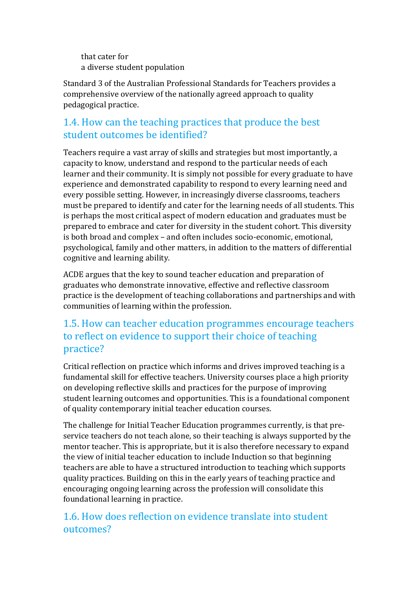that cater for a diverse student population

Standard 3 of the Australian Professional Standards for Teachers provides a comprehensive overview of the nationally agreed approach to quality pedagogical practice.

#### 1.4. How can the teaching practices that produce the best student outcomes be identified?

Teachers require a vast array of skills and strategies but most importantly, a capacity to know, understand and respond to the particular needs of each learner and their community. It is simply not possible for every graduate to have experience and demonstrated capability to respond to every learning need and every possible setting. However, in increasingly diverse classrooms, teachers must be prepared to identify and cater for the learning needs of all students. This is perhaps the most critical aspect of modern education and graduates must be prepared to embrace and cater for diversity in the student cohort. This diversity is both broad and complex – and often includes socio-economic, emotional, psychological, family and other matters, in addition to the matters of differential cognitive and learning ability.

ACDE argues that the key to sound teacher education and preparation of graduates who demonstrate innovative, effective and reflective classroom practice is the development of teaching collaborations and partnerships and with communities of learning within the profession.

#### 1.5. How can teacher education programmes encourage teachers to reflect on evidence to support their choice of teaching practice?

Critical reflection on practice which informs and drives improved teaching is a fundamental skill for effective teachers. University courses place a high priority on developing reflective skills and practices for the purpose of improving student learning outcomes and opportunities. This is a foundational component of quality contemporary initial teacher education courses.

The challenge for Initial Teacher Education programmes currently, is that preservice teachers do not teach alone, so their teaching is always supported by the mentor teacher. This is appropriate, but it is also therefore necessary to expand the view of initial teacher education to include Induction so that beginning teachers are able to have a structured introduction to teaching which supports quality practices. Building on this in the early years of teaching practice and encouraging ongoing learning across the profession will consolidate this foundational learning in practice.

### 1.6. How does reflection on evidence translate into student outcomes?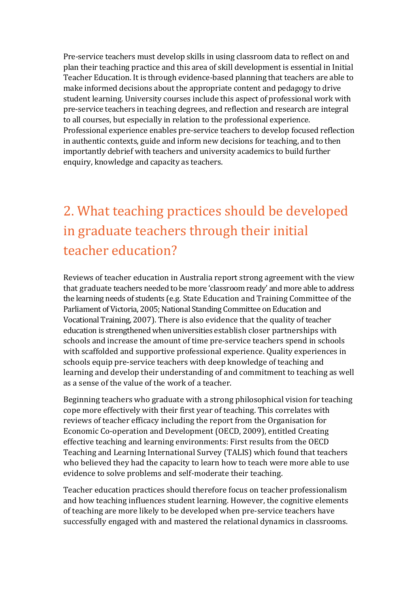Pre-service teachers must develop skills in using classroom data to reflect on and plan their teaching practice and this area of skill development is essential in Initial Teacher Education. It is through evidence-based planning that teachers are able to make informed decisions about the appropriate content and pedagogy to drive student learning. University courses include this aspect of professional work with pre-service teachers in teaching degrees, and reflection and research are integral to all courses, but especially in relation to the professional experience. Professional experience enables pre-service teachers to develop focused reflection in authentic contexts, guide and inform new decisions for teaching, and to then importantly debrief with teachers and university academics to build further enquiry, knowledge and capacity as teachers.

## 2. What teaching practices should be developed in graduate teachers through their initial teacher education?

Reviews of teacher education in Australia report strong agreement with the view that graduate teachers needed to be more 'classroom ready' and more able to address the learning needs of students (e.g. State Education and Training Committee of the Parliament of Victoria, 2005; National Standing Committee on Education and Vocational Training, 2007). There is also evidence that the quality of teacher education is strengthened when universities establish closer partnerships with schools and increase the amount of time pre-service teachers spend in schools with scaffolded and supportive professional experience. Quality experiences in schools equip pre-service teachers with deep knowledge of teaching and learning and develop their understanding of and commitment to teaching as well as a sense of the value of the work of a teacher.

Beginning teachers who graduate with a strong philosophical vision for teaching cope more effectively with their first year of teaching. This correlates with reviews of teacher efficacy including the report from the Organisation for Economic Co-operation and Development (OECD, 2009), entitled Creating effective teaching and learning environments: First results from the OECD Teaching and Learning International Survey (TALIS) which found that teachers who believed they had the capacity to learn how to teach were more able to use evidence to solve problems and self-moderate their teaching.

Teacher education practices should therefore focus on teacher professionalism and how teaching influences student learning. However, the cognitive elements of teaching are more likely to be developed when pre-service teachers have successfully engaged with and mastered the relational dynamics in classrooms.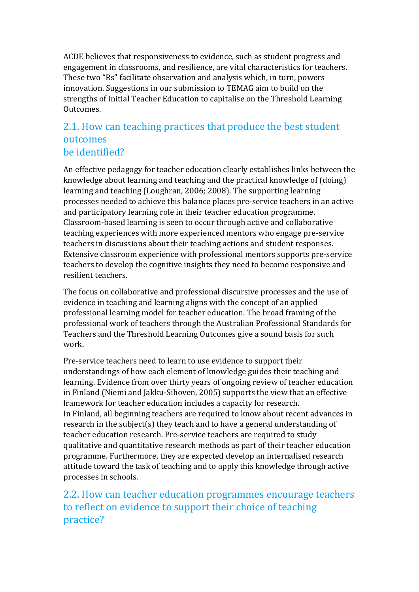ACDE believes that responsiveness to evidence, such as student progress and engagement in classrooms, and resilience, are vital characteristics for teachers. These two "Rs" facilitate observation and analysis which, in turn, powers innovation. Suggestions in our submission to TEMAG aim to build on the strengths of Initial Teacher Education to capitalise on the Threshold Learning Outcomes.

#### 2.1. How can teaching practices that produce the best student outcomes be identified?

An effective pedagogy for teacher education clearly establishes links between the knowledge about learning and teaching and the practical knowledge of (doing) learning and teaching (Loughran, 2006; 2008). The supporting learning processes needed to achieve this balance places pre-service teachers in an active and participatory learning role in their teacher education programme. Classroom-based learning is seen to occur through active and collaborative teaching experiences with more experienced mentors who engage pre-service teachers in discussions about their teaching actions and student responses. Extensive classroom experience with professional mentors supports pre-service teachers to develop the cognitive insights they need to become responsive and resilient teachers.

The focus on collaborative and professional discursive processes and the use of evidence in teaching and learning aligns with the concept of an applied professional learning model for teacher education. The broad framing of the professional work of teachers through the Australian Professional Standards for Teachers and the Threshold Learning Outcomes give a sound basis for such work.

Pre-service teachers need to learn to use evidence to support their understandings of how each element of knowledge guides their teaching and learning. Evidence from over thirty years of ongoing review of teacher education in Finland (Niemi and Jakku-Sihoven, 2005) supports the view that an effective framework for teacher education includes a capacity for research. In Finland, all beginning teachers are required to know about recent advances in research in the subject(s) they teach and to have a general understanding of teacher education research. Pre-service teachers are required to study qualitative and quantitative research methods as part of their teacher education programme. Furthermore, they are expected develop an internalised research attitude toward the task of teaching and to apply this knowledge through active processes in schools.

2.2. How can teacher education programmes encourage teachers to reflect on evidence to support their choice of teaching practice?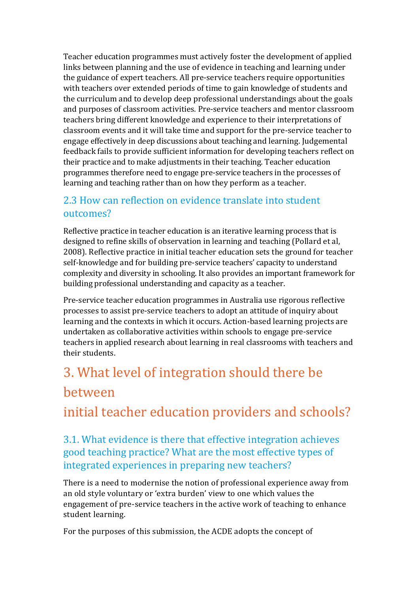Teacher education programmes must actively foster the development of applied links between planning and the use of evidence in teaching and learning under the guidance of expert teachers. All pre-service teachers require opportunities with teachers over extended periods of time to gain knowledge of students and the curriculum and to develop deep professional understandings about the goals and purposes of classroom activities. Pre-service teachers and mentor classroom teachers bring different knowledge and experience to their interpretations of classroom events and it will take time and support for the pre-service teacher to engage effectively in deep discussions about teaching and learning. Judgemental feedback fails to provide sufficient information for developing teachers reflect on their practice and to make adjustments in their teaching. Teacher education programmes therefore need to engage pre-service teachers in the processes of learning and teaching rather than on how they perform as a teacher.

#### 2.3 How can reflection on evidence translate into student outcomes?

Reflective practice in teacher education is an iterative learning process that is designed to refine skills of observation in learning and teaching (Pollard et al, 2008). Reflective practice in initial teacher education sets the ground for teacher self-knowledge and for building pre-service teachers' capacity to understand complexity and diversity in schooling. It also provides an important framework for building professional understanding and capacity as a teacher.

Pre-service teacher education programmes in Australia use rigorous reflective processes to assist pre-service teachers to adopt an attitude of inquiry about learning and the contexts in which it occurs. Action-based learning projects are undertaken as collaborative activities within schools to engage pre-service teachers in applied research about learning in real classrooms with teachers and their students.

## 3. What level of integration should there be between

initial teacher education providers and schools?

#### 3.1. What evidence is there that effective integration achieves good teaching practice? What are the most effective types of integrated experiences in preparing new teachers?

There is a need to modernise the notion of professional experience away from an old style voluntary or 'extra burden' view to one which values the engagement of pre-service teachers in the active work of teaching to enhance student learning.

For the purposes of this submission, the ACDE adopts the concept of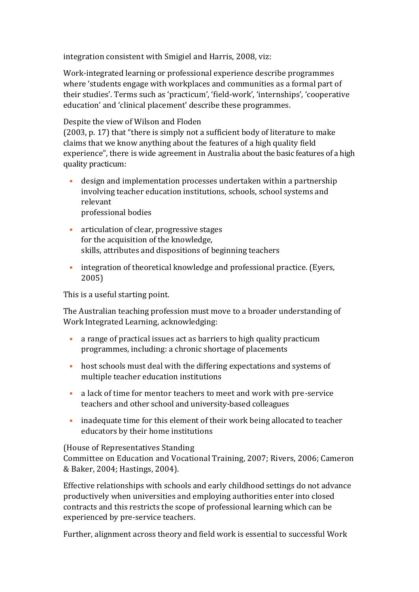integration consistent with Smigiel and Harris, 2008, viz:

Work-integrated learning or professional experience describe programmes where 'students engage with workplaces and communities as a formal part of their studies'. Terms such as 'practicum', 'field-work', 'internships', 'cooperative education' and 'clinical placement' describe these programmes.

#### Despite the view of Wilson and Floden

(2003, p. 17) that "there is simply not a sufficient body of literature to make claims that we know anything about the features of a high quality field experience", there is wide agreement in Australia about the basic features of a high quality practicum:

- design and implementation processes undertaken within a partnership involving teacher education institutions, schools, school systems and relevant professional bodies
- articulation of clear, progressive stages for the acquisition of the knowledge, skills, attributes and dispositions of beginning teachers
- integration of theoretical knowledge and professional practice. (Eyers, 2005)

This is a useful starting point.

The Australian teaching profession must move to a broader understanding of Work Integrated Learning, acknowledging:

- a range of practical issues act as barriers to high quality practicum programmes, including: a chronic shortage of placements
- host schools must deal with the differing expectations and systems of multiple teacher education institutions
- a lack of time for mentor teachers to meet and work with pre-service teachers and other school and university-based colleagues
- inadequate time for this element of their work being allocated to teacher educators by their home institutions

#### (House of Representatives Standing

Committee on Education and Vocational Training, 2007; Rivers, 2006; Cameron & Baker, 2004; Hastings, 2004).

Effective relationships with schools and early childhood settings do not advance productively when universities and employing authorities enter into closed contracts and this restricts the scope of professional learning which can be experienced by pre-service teachers.

Further, alignment across theory and field work is essential to successful Work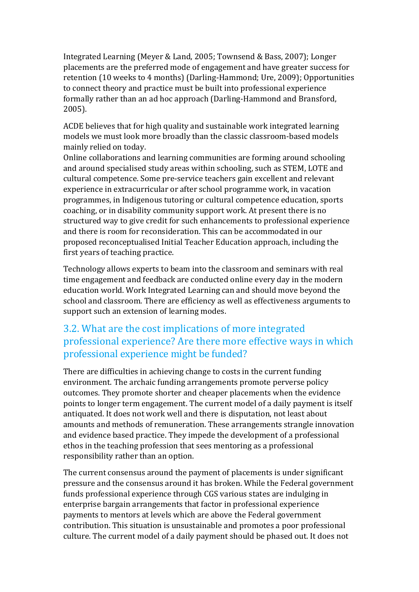Integrated Learning (Meyer & Land, 2005; Townsend & Bass, 2007); Longer placements are the preferred mode of engagement and have greater success for retention (10 weeks to 4 months) (Darling-Hammond; Ure, 2009); Opportunities to connect theory and practice must be built into professional experience formally rather than an ad hoc approach (Darling-Hammond and Bransford, 2005).

ACDE believes that for high quality and sustainable work integrated learning models we must look more broadly than the classic classroom-based models mainly relied on today.

Online collaborations and learning communities are forming around schooling and around specialised study areas within schooling, such as STEM, LOTE and cultural competence. Some pre-service teachers gain excellent and relevant experience in extracurricular or after school programme work, in vacation programmes, in Indigenous tutoring or cultural competence education, sports coaching, or in disability community support work. At present there is no structured way to give credit for such enhancements to professional experience and there is room for reconsideration. This can be accommodated in our proposed reconceptualised Initial Teacher Education approach, including the first years of teaching practice.

Technology allows experts to beam into the classroom and seminars with real time engagement and feedback are conducted online every day in the modern education world. Work Integrated Learning can and should move beyond the school and classroom. There are efficiency as well as effectiveness arguments to support such an extension of learning modes.

### 3.2. What are the cost implications of more integrated professional experience? Are there more effective ways in which professional experience might be funded?

There are difficulties in achieving change to costs in the current funding environment. The archaic funding arrangements promote perverse policy outcomes. They promote shorter and cheaper placements when the evidence points to longer term engagement. The current model of a daily payment is itself antiquated. It does not work well and there is disputation, not least about amounts and methods of remuneration. These arrangements strangle innovation and evidence based practice. They impede the development of a professional ethos in the teaching profession that sees mentoring as a professional responsibility rather than an option.

The current consensus around the payment of placements is under significant pressure and the consensus around it has broken. While the Federal government funds professional experience through CGS various states are indulging in enterprise bargain arrangements that factor in professional experience payments to mentors at levels which are above the Federal government contribution. This situation is unsustainable and promotes a poor professional culture. The current model of a daily payment should be phased out. It does not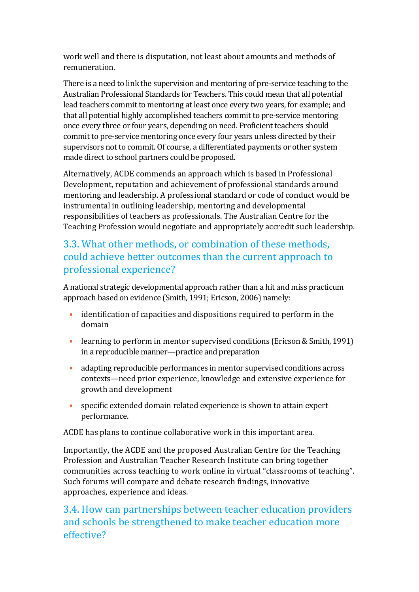work well and there is disputation, not least about amounts and methods of remuneration.

There is a need to link the supervision and mentoring of pre-service teaching to the Australian Professional Standards for Teachers. This could mean that all potential lead teachers commit to mentoring at least once every two years, for example; and that all potential highly accomplished teachers commit to pre-service mentoring once every three or four years, depending on need. Proficient teachers should commit to pre-service mentoring once every four years unless directed by their supervisors not to commit. Of course, a differentiated payments or other system made direct to school partners could be proposed.

Alternatively, ACDE commends an approach which is based in Professional Development, reputation and achievement of professional standards around mentoring and leadership. A professional standard or code of conduct would be instrumental in outlining leadership, mentoring and developmental responsibilities of teachers as professionals. The Australian Centre for the Teaching Profession would negotiate and appropriately accredit such leadership.

### 3.3. What other methods, or combination of these methods, could achieve better outcomes than the current approach to professional experience?

A national strategic developmental approach rather than a hit and miss practicum approach based on evidence (Smith, 1991; Ericson, 2006) namely:

- identification of capacities and dispositions required to perform in the domain
- learning to perform in mentor supervised conditions (Ericson & Smith, 1991) in a reproducible manner—practice and preparation
- adapting reproducible performances in mentor supervised conditions across contexts—need prior experience, knowledge and extensive experience for growth and development
- specific extended domain related experience is shown to attain expert performance.

ACDE has plans to continue collaborative work in this important area.

Importantly, the ACDE and the proposed Australian Centre for the Teaching Profession and Australian Teacher Research Institute can bring together communities across teaching to work online in virtual "classrooms of teaching". Such forums will compare and debate research findings, innovative approaches, experience and ideas.

### 3.4. How can partnerships between teacher education providers and schools be strengthened to make teacher education more effective?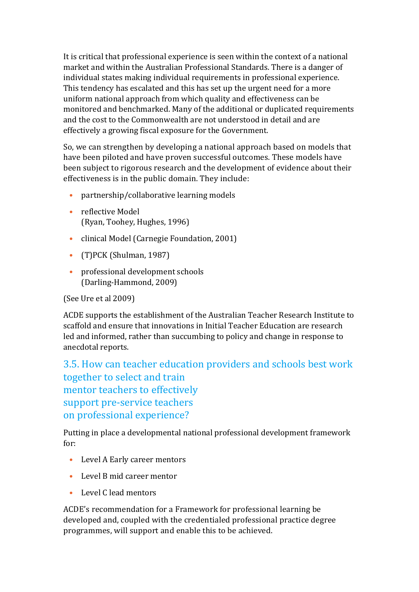It is critical that professional experience is seen within the context of a national market and within the Australian Professional Standards. There is a danger of individual states making individual requirements in professional experience. This tendency has escalated and this has set up the urgent need for a more uniform national approach from which quality and effectiveness can be monitored and benchmarked. Many of the additional or duplicated requirements and the cost to the Commonwealth are not understood in detail and are effectively a growing fiscal exposure for the Government.

So, we can strengthen by developing a national approach based on models that have been piloted and have proven successful outcomes. These models have been subject to rigorous research and the development of evidence about their effectiveness is in the public domain. They include:

- partnership/collaborative learning models
- reflective Model (Ryan, Toohey, Hughes, 1996)
- clinical Model (Carnegie Foundation, 2001)
- (T)PCK (Shulman, 1987)
- professional development schools (Darling-Hammond, 2009)

(See Ure et al 2009)

ACDE supports the establishment of the Australian Teacher Research Institute to scaffold and ensure that innovations in Initial Teacher Education are research led and informed, rather than succumbing to policy and change in response to anecdotal reports.

3.5. How can teacher education providers and schools best work together to select and train mentor teachers to effectively support pre-service teachers on professional experience?

Putting in place a developmental national professional development framework for:

- Level A Early career mentors
- Level B mid career mentor
- Level C lead mentors

ACDE's recommendation for a Framework for professional learning be developed and, coupled with the credentialed professional practice degree programmes, will support and enable this to be achieved.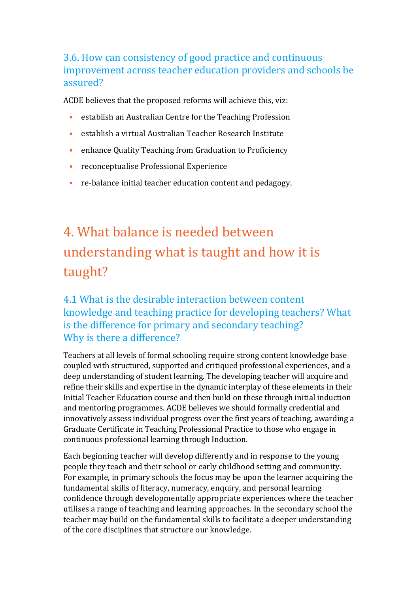### 3.6. How can consistency of good practice and continuous improvement across teacher education providers and schools be assured?

ACDE believes that the proposed reforms will achieve this, viz:

- establish an Australian Centre for the Teaching Profession
- establish a virtual Australian Teacher Research Institute
- enhance Quality Teaching from Graduation to Proficiency
- reconceptualise Professional Experience
- re-balance initial teacher education content and pedagogy.

## 4. What balance is needed between understanding what is taught and how it is taught?

### 4.1 What is the desirable interaction between content knowledge and teaching practice for developing teachers? What is the difference for primary and secondary teaching? Why is there a difference?

Teachers at all levels of formal schooling require strong content knowledge base coupled with structured, supported and critiqued professional experiences, and a deep understanding of student learning. The developing teacher will acquire and refine their skills and expertise in the dynamic interplay of these elements in their Initial Teacher Education course and then build on these through initial induction and mentoring programmes. ACDE believes we should formally credential and innovatively assess individual progress over the first years of teaching, awarding a Graduate Certificate in Teaching Professional Practice to those who engage in continuous professional learning through Induction.

Each beginning teacher will develop differently and in response to the young people they teach and their school or early childhood setting and community. For example, in primary schools the focus may be upon the learner acquiring the fundamental skills of literacy, numeracy, enquiry, and personal learning confidence through developmentally appropriate experiences where the teacher utilises a range of teaching and learning approaches. In the secondary school the teacher may build on the fundamental skills to facilitate a deeper understanding of the core disciplines that structure our knowledge.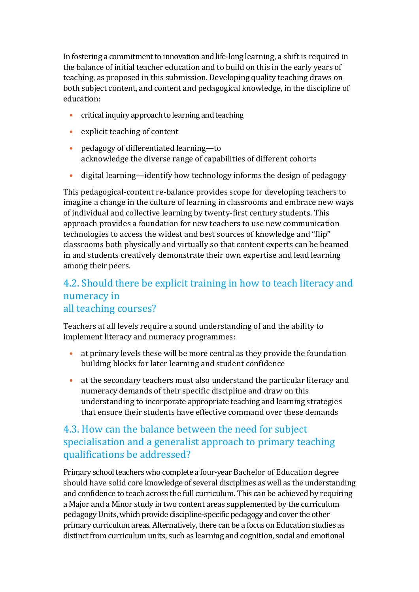In fostering a commitment to innovation and life-long learning, a shift is required in the balance of initial teacher education and to build on this in the early years of teaching, as proposed in this submission. Developing quality teaching draws on both subject content, and content and pedagogical knowledge, in the discipline of education:

- critical inquiry approach to learning and teaching
- explicit teaching of content
- pedagogy of differentiated learning—to acknowledge the diverse range of capabilities of different cohorts
- digital learning—identify how technology informs the design of pedagogy

This pedagogical-content re-balance provides scope for developing teachers to imagine a change in the culture of learning in classrooms and embrace new ways of individual and collective learning by twenty-first century students. This approach provides a foundation for new teachers to use new communication technologies to access the widest and best sources of knowledge and "flip" classrooms both physically and virtually so that content experts can be beamed in and students creatively demonstrate their own expertise and lead learning among their peers.

### 4.2. Should there be explicit training in how to teach literacy and numeracy in all teaching courses?

Teachers at all levels require a sound understanding of and the ability to implement literacy and numeracy programmes:

- at primary levels these will be more central as they provide the foundation building blocks for later learning and student confidence
- at the secondary teachers must also understand the particular literacy and numeracy demands of their specific discipline and draw on this understanding to incorporate appropriate teaching and learning strategies that ensure their students have effective command over these demands

### 4.3. How can the balance between the need for subject specialisation and a generalist approach to primary teaching qualifications be addressed?

Primary school teachers who complete a four-year Bachelor of Education degree should have solid core knowledge of several disciplines as well as the understanding and confidence to teach across the full curriculum. This can be achieved by requiring a Major and a Minor study in two content areas supplemented by the curriculum pedagogy Units, which provide discipline-specific pedagogy and cover the other primary curriculum areas. Alternatively, there can be a focus on Education studies as distinct from curriculum units, such as learning and cognition, social and emotional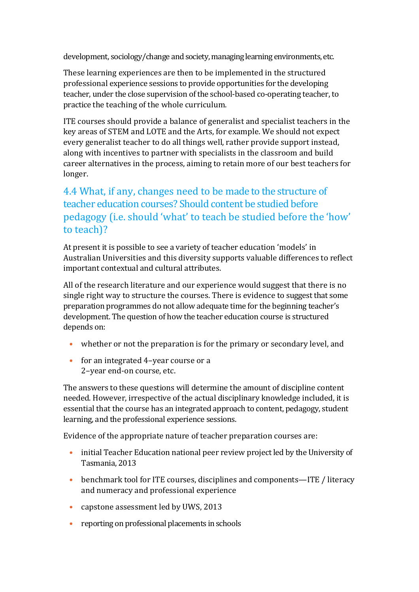development, sociology/change and society, managing learning environments, etc.

These learning experiences are then to be implemented in the structured professional experience sessions to provide opportunities for the developing teacher, under the close supervision of the school-based co-operating teacher, to practice the teaching of the whole curriculum.

ITE courses should provide a balance of generalist and specialist teachers in the key areas of STEM and LOTE and the Arts, for example. We should not expect every generalist teacher to do all things well, rather provide support instead, along with incentives to partner with specialists in the classroom and build career alternatives in the process, aiming to retain more of our best teachers for longer.

### 4.4 What, if any, changes need to be made to the structure of teacher education courses? Should content be studied before pedagogy (i.e. should 'what' to teach be studied before the 'how' to teach)?

At present it is possible to see a variety of teacher education 'models' in Australian Universities and this diversity supports valuable differences to reflect important contextual and cultural attributes.

All of the research literature and our experience would suggest that there is no single right way to structure the courses. There is evidence to suggest that some preparation programmes do not allow adequate time for the beginning teacher's development. The question of how the teacher education course is structured depends on:

- whether or not the preparation is for the primary or secondary level, and
- for an integrated 4-year course or a 2–year end-on course, etc.

The answers to these questions will determine the amount of discipline content needed. However, irrespective of the actual disciplinary knowledge included, it is essential that the course has an integrated approach to content, pedagogy, student learning, and the professional experience sessions.

Evidence of the appropriate nature of teacher preparation courses are:

- initial Teacher Education national peer review project led by the University of Tasmania, 2013
- benchmark tool for ITE courses, disciplines and components—ITE / literacy and numeracy and professional experience
- capstone assessment led by UWS, 2013
- reporting on professional placements in schools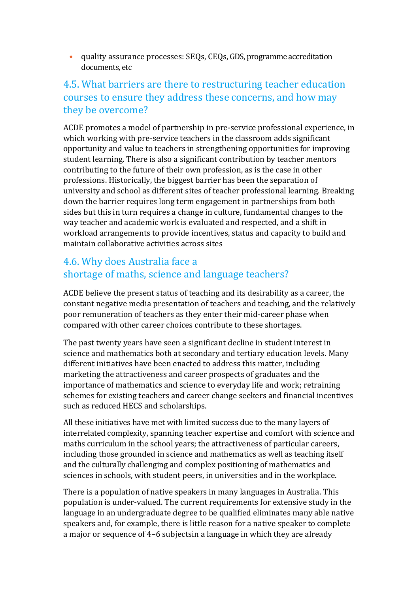• quality assurance processes: SEQs, CEQs, GDS, programme accreditation documents, etc

#### 4.5. What barriers are there to restructuring teacher education courses to ensure they address these concerns, and how may they be overcome?

ACDE promotes a model of partnership in pre-service professional experience, in which working with pre-service teachers in the classroom adds significant opportunity and value to teachers in strengthening opportunities for improving student learning. There is also a significant contribution by teacher mentors contributing to the future of their own profession, as is the case in other professions. Historically, the biggest barrier has been the separation of university and school as different sites of teacher professional learning. Breaking down the barrier requires long term engagement in partnerships from both sides but this in turn requires a change in culture, fundamental changes to the way teacher and academic work is evaluated and respected, and a shift in workload arrangements to provide incentives, status and capacity to build and maintain collaborative activities across sites

#### 4.6. Why does Australia face a shortage of maths, science and language teachers?

ACDE believe the present status of teaching and its desirability as a career, the constant negative media presentation of teachers and teaching, and the relatively poor remuneration of teachers as they enter their mid-career phase when compared with other career choices contribute to these shortages.

The past twenty years have seen a significant decline in student interest in science and mathematics both at secondary and tertiary education levels. Many different initiatives have been enacted to address this matter, including marketing the attractiveness and career prospects of graduates and the importance of mathematics and science to everyday life and work; retraining schemes for existing teachers and career change seekers and financial incentives such as reduced HECS and scholarships.

All these initiatives have met with limited success due to the many layers of interrelated complexity, spanning teacher expertise and comfort with science and maths curriculum in the school years; the attractiveness of particular careers, including those grounded in science and mathematics as well as teaching itself and the culturally challenging and complex positioning of mathematics and sciences in schools, with student peers, in universities and in the workplace.

There is a population of native speakers in many languages in Australia. This population is under-valued. The current requirements for extensive study in the language in an undergraduate degree to be qualified eliminates many able native speakers and, for example, there is little reason for a native speaker to complete a major or sequence of 4–6 subjectsin a language in which they are already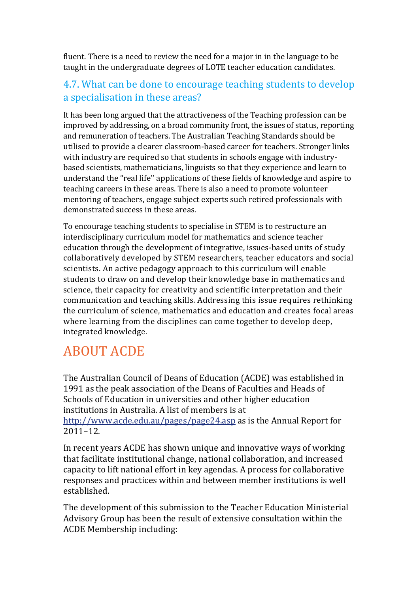fluent. There is a need to review the need for a major in in the language to be taught in the undergraduate degrees of LOTE teacher education candidates.

#### 4.7. What can be done to encourage teaching students to develop a specialisation in these areas?

It has been long argued that the attractiveness of the Teaching profession can be improved by addressing, on a broad community front, the issues of status, reporting and remuneration of teachers. The Australian Teaching Standards should be utilised to provide a clearer classroom-based career for teachers. Stronger links with industry are required so that students in schools engage with industrybased scientists, mathematicians, linguists so that they experience and learn to understand the "real life'' applications of these fields of knowledge and aspire to teaching careers in these areas. There is also a need to promote volunteer mentoring of teachers, engage subject experts such retired professionals with demonstrated success in these areas.

To encourage teaching students to specialise in STEM is to restructure an interdisciplinary curriculum model for mathematics and science teacher education through the development of integrative, issues-based units of study collaboratively developed by STEM researchers, teacher educators and social scientists. An active pedagogy approach to this curriculum will enable students to draw on and develop their knowledge base in mathematics and science, their capacity for creativity and scientific interpretation and their communication and teaching skills. Addressing this issue requires rethinking the curriculum of science, mathematics and education and creates focal areas where learning from the disciplines can come together to develop deep, integrated knowledge.

## ABOUT ACDE

The Australian Council of Deans of Education (ACDE) was established in 1991 as the peak association of the Deans of Faculties and Heads of Schools of Education in universities and other higher education institutions in Australia. A list of members is at http://www.acde.edu.au/pages/page24.asp as is the Annual Report for 2011–12.

In recent years ACDE has shown unique and innovative ways of working that facilitate institutional change, national collaboration, and increased capacity to lift national effort in key agendas. A process for collaborative responses and practices within and between member institutions is well established.

The development of this submission to the Teacher Education Ministerial Advisory Group has been the result of extensive consultation within the ACDE Membership including: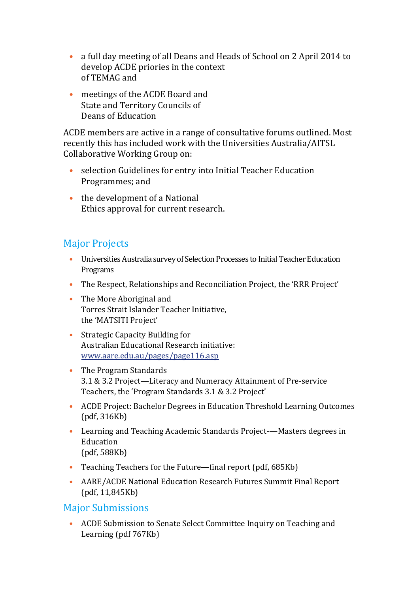- a full day meeting of all Deans and Heads of School on 2 April 2014 to develop ACDE priories in the context of TEMAG and
- meetings of the ACDE Board and State and Territory Councils of Deans of Education

ACDE members are active in a range of consultative forums outlined. Most recently this has included work with the Universities Australia/AITSL Collaborative Working Group on:

- selection Guidelines for entry into Initial Teacher Education Programmes; and
- the development of a National Ethics approval for current research.

### Major Projects

- Universities Australia survey of Selection Processes to Initial Teacher Education Programs
- The Respect, Relationships and Reconciliation Project, the 'RRR Project'
- The More Aboriginal and Torres Strait Islander Teacher Initiative, the 'MATSITI Project'
- Strategic Capacity Building for Australian Educational Research initiative: www.aare.edu.au/pages/page116.asp
- The Program Standards 3.1 & 3.2 Project—Literacy and Numeracy Attainment of Pre-service Teachers, the 'Program Standards 3.1 & 3.2 Project'
- ACDE Project: Bachelor Degrees in Education Threshold Learning Outcomes (pdf, 316Kb)
- Learning and Teaching Academic Standards Project-—Masters degrees in Education (pdf, 588Kb)
- Teaching Teachers for the Future—final report (pdf, 685Kb)
- AARE/ACDE National Education Research Futures Summit Final Report (pdf, 11,845Kb)

#### Major Submissions

• ACDE Submission to Senate Select Committee Inquiry on Teaching and Learning (pdf 767Kb)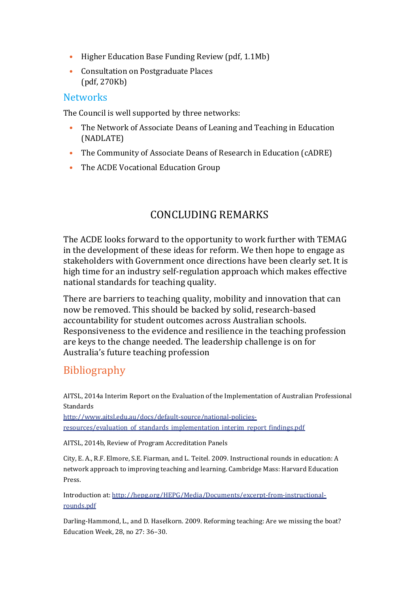- Higher Education Base Funding Review (pdf, 1.1Mb)
- Consultation on Postgraduate Places (pdf, 270Kb)

#### **Networks**

The Council is well supported by three networks:

- The Network of Associate Deans of Leaning and Teaching in Education (NADLATE)
- The Community of Associate Deans of Research in Education (cADRE)
- The ACDE Vocational Education Group

### CONCLUDING REMARKS

The ACDE looks forward to the opportunity to work further with TEMAG in the development of these ideas for reform. We then hope to engage as stakeholders with Government once directions have been clearly set. It is high time for an industry self-regulation approach which makes effective national standards for teaching quality.

There are barriers to teaching quality, mobility and innovation that can now be removed. This should be backed by solid, research-based accountability for student outcomes across Australian schools. Responsiveness to the evidence and resilience in the teaching profession are keys to the change needed. The leadership challenge is on for Australia's future teaching profession

## Bibliography

AITSL, 2014a Interim Report on the Evaluation of the Implementation of Australian Professional Standards

http://www.aitsl.edu.au/docs/default-source/national-policiesresources/evaluation of standards implementation interim report findings.pdf

AITSL, 2014b, Review of Program Accreditation Panels

City, E. A., R.F. Elmore, S.E. Fiarman, and L. Teitel. 2009. Instructional rounds in education: A network approach to improving teaching and learning. Cambridge Mass: Harvard Education Press.

Introduction at: http://hepg.org/HEPG/Media/Documents/excerpt-from-instructionalrounds.pdf

Darling-Hammond, L., and D. Haselkorn. 2009. Reforming teaching: Are we missing the boat? Education Week, 28, no 27: 36–30.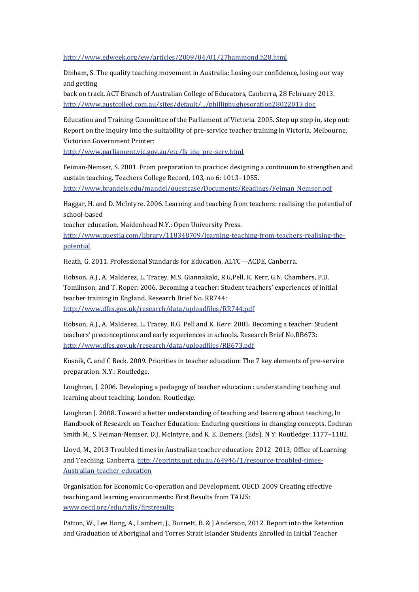#### http://www.edweek.org/ew/articles/2009/04/01/27hammond.h28.html

Dinham, S. The quality teaching movement in Australia: Losing our confidence, losing our way and getting

back on track. ACT Branch of Australian College of Educators, Canberra, 28 February 2013. http://www.austcolled.com.au/sites/default/.../philliphughesoration28022013.doc

Education and Training Committee of the Parliament of Victoria. 2005. Step up step in, step out: Report on the inquiry into the suitability of pre-service teacher training in Victoria. Melbourne. Victorian Government Printer:

http://www.parliament.vic.gov.au/etc/fs\_inq\_pre-serv.html

Feiman-Nemser, S. 2001. From preparation to practice: designing a continuum to strengthen and sustain teaching. Teachers College Record, 103, no 6: 1013–1055. http://www.brandeis.edu/mandel/questcase/Documents/Readings/Feiman\_Nemser.pdf

Haggar, H. and D. McIntyre. 2006. Learning and teaching from teachers: realising the potential of school-based

teacher education. Maidenhead N.Y.: Open University Press.

http://www.questia.com/library/118348709/learning-teaching-from-teachers-realising-thepotential

Heath, G. 2011. Professional Standards for Education, ALTC—ACDE, Canberra.

Hobson, A.J., A. Malderez, L. Tracey, M.S. Giannakaki, R.G,Pell, K. Kerr, G.N. Chambers, P.D. Tomlinson, and T. Roper: 2006. Becoming a teacher: Student teachers' experiences of initial teacher training in England. Research Brief No. RR744: http://www.dfes.gov.uk/research/data/uploadfiles/RR744.pdf

Hobson, A.J., A. Malderez, L. Tracey, R.G. Pell and K. Kerr: 2005. Becoming a teacher: Student teachers' preconceptions and early experiences in schools. Research Brief No.RB673: http://www.dfes.gov.uk/research/data/uploadfiles/RB673.pdf

Kosnik, C. and C Beck. 2009. Priorities in teacher education: The 7 key elements of pre-service preparation. N.Y.: Routledge.

Loughran, J. 2006. Developing a pedagogy of teacher education : understanding teaching and learning about teaching. London: Routledge.

Loughran J. 2008. Toward a better understanding of teaching and learning about teaching, In Handbook of Research on Teacher Education: Enduring questions in changing concepts. Cochran Smith M., S. Feiman-Nemser, D.J. McIntyre, and K. E. Demers, (Eds). N Y: Routledge: 1177–1182.

Lloyd, M., 2013 Troubled times in Australian teacher education: 2012–2013, Office of Learning and Teaching, Canberra. http://eprints.qut.edu.au/64946/1/resource-troubled-times-Australian-teacher-education

Organisation for Economic Co-operation and Development, OECD. 2009 Creating effective teaching and learning environments: First Results from TALIS: www.oecd.org/edu/talis/firstresults

Patton, W., Lee Hong, A., Lambert, J., Burnett, B. & J.Anderson, 2012. Report into the Retention and Graduation of Aboriginal and Torres Strait Islander Students Enrolled in Initial Teacher